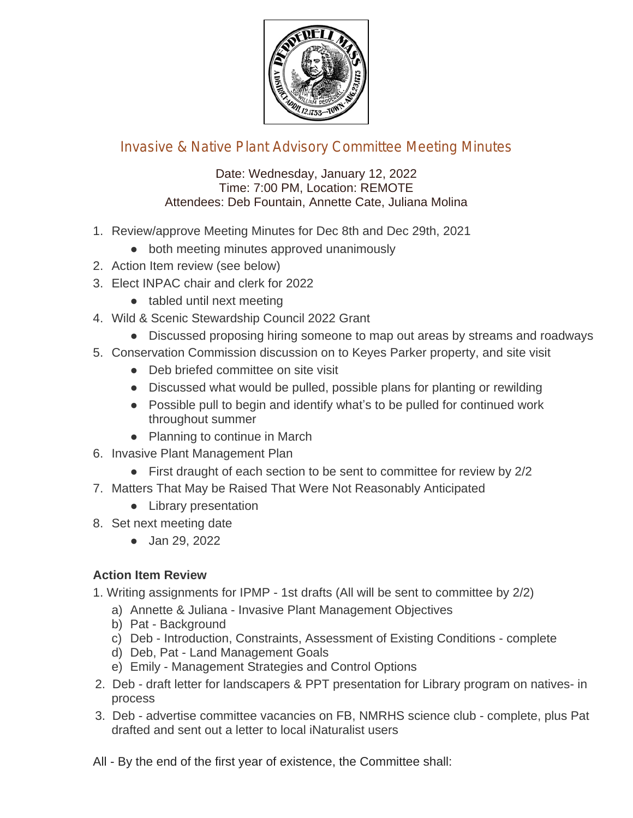

## Invasive & Native Plant Advisory Committee Meeting Minutes

## Date: Wednesday, January 12, 2022 Time: 7:00 PM, Location: REMOTE Attendees: Deb Fountain, Annette Cate, Juliana Molina

- 1. Review/approve Meeting Minutes for Dec 8th and Dec 29th, 2021
	- both meeting minutes approved unanimously
- 2. Action Item review (see below)
- 3. Elect INPAC chair and clerk for 2022
	- tabled until next meeting
- 4. Wild & Scenic Stewardship Council 2022 Grant
	- Discussed proposing hiring someone to map out areas by streams and roadways
- 5. Conservation Commission discussion on to Keyes Parker property, and site visit
	- Deb briefed committee on site visit
	- Discussed what would be pulled, possible plans for planting or rewilding
	- Possible pull to begin and identify what's to be pulled for continued work throughout summer
	- Planning to continue in March
- 6. Invasive Plant Management Plan
	- First draught of each section to be sent to committee for review by 2/2
- 7. Matters That May be Raised That Were Not Reasonably Anticipated
	- Library presentation
- 8. Set next meeting date
	- Jan 29, 2022

## **Action Item Review**

1. Writing assignments for IPMP - 1st drafts (All will be sent to committee by 2/2)

- a) Annette & Juliana Invasive Plant Management Objectives
- b) Pat Background
- c) Deb Introduction, Constraints, Assessment of Existing Conditions complete
- d) Deb, Pat Land Management Goals
- e) Emily Management Strategies and Control Options
- 2. Deb draft letter for landscapers & PPT presentation for Library program on natives- in process
- 3. Deb advertise committee vacancies on FB, NMRHS science club complete, plus Pat drafted and sent out a letter to local iNaturalist users
- All By the end of the first year of existence, the Committee shall: